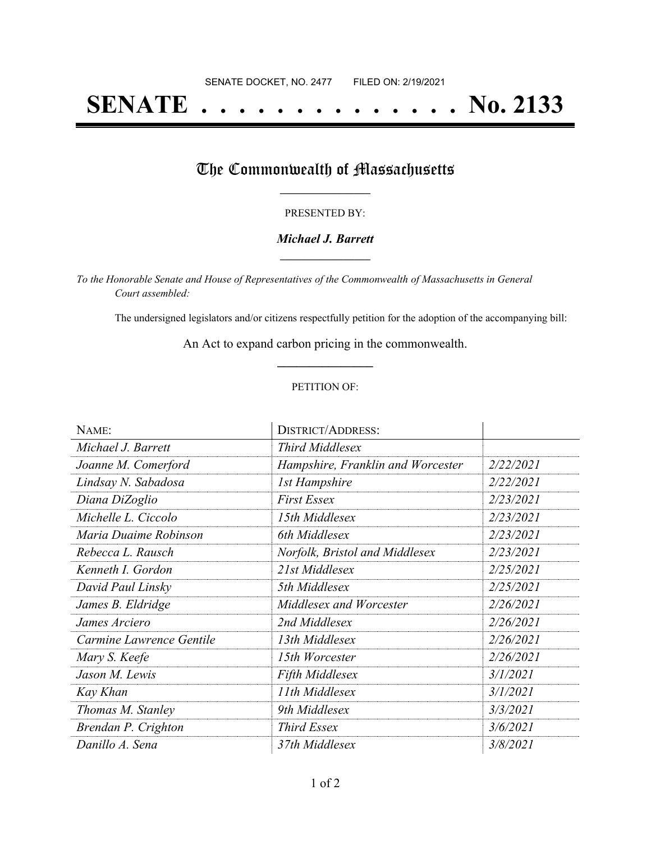# **SENATE . . . . . . . . . . . . . . No. 2133**

## The Commonwealth of Massachusetts

#### PRESENTED BY:

#### *Michael J. Barrett* **\_\_\_\_\_\_\_\_\_\_\_\_\_\_\_\_\_**

*To the Honorable Senate and House of Representatives of the Commonwealth of Massachusetts in General Court assembled:*

The undersigned legislators and/or citizens respectfully petition for the adoption of the accompanying bill:

An Act to expand carbon pricing in the commonwealth. **\_\_\_\_\_\_\_\_\_\_\_\_\_\_\_**

#### PETITION OF:

| NAME:                    | <b>DISTRICT/ADDRESS:</b>          |           |
|--------------------------|-----------------------------------|-----------|
| Michael J. Barrett       | Third Middlesex                   |           |
| Joanne M. Comerford      | Hampshire, Franklin and Worcester | 2/22/2021 |
| Lindsay N. Sabadosa      | <b>1st Hampshire</b>              | 2/22/2021 |
| Diana DiZoglio           | <b>First Essex</b>                | 2/23/2021 |
| Michelle L. Ciccolo      | 15th Middlesex                    | 2/23/2021 |
| Maria Duaime Robinson    | 6th Middlesex                     | 2/23/2021 |
| Rebecca L. Rausch        | Norfolk, Bristol and Middlesex    | 2/23/2021 |
| Kenneth I. Gordon        | 21st Middlesex                    | 2/25/2021 |
| David Paul Linsky        | 5th Middlesex                     | 2/25/2021 |
| James B. Eldridge        | Middlesex and Worcester           | 2/26/2021 |
| James Arciero            | 2nd Middlesex                     | 2/26/2021 |
| Carmine Lawrence Gentile | 13th Middlesex                    | 2/26/2021 |
| Mary S. Keefe            | 15th Worcester                    | 2/26/2021 |
| Jason M. Lewis           | Fifth Middlesex                   | 3/1/2021  |
| Kay Khan                 | 11th Middlesex                    | 3/1/2021  |
| Thomas M. Stanley        | 9th Middlesex                     | 3/3/2021  |
| Brendan P. Crighton      | <b>Third Essex</b>                | 3/6/2021  |
| Danillo A. Sena          | 37th Middlesex                    | 3/8/2021  |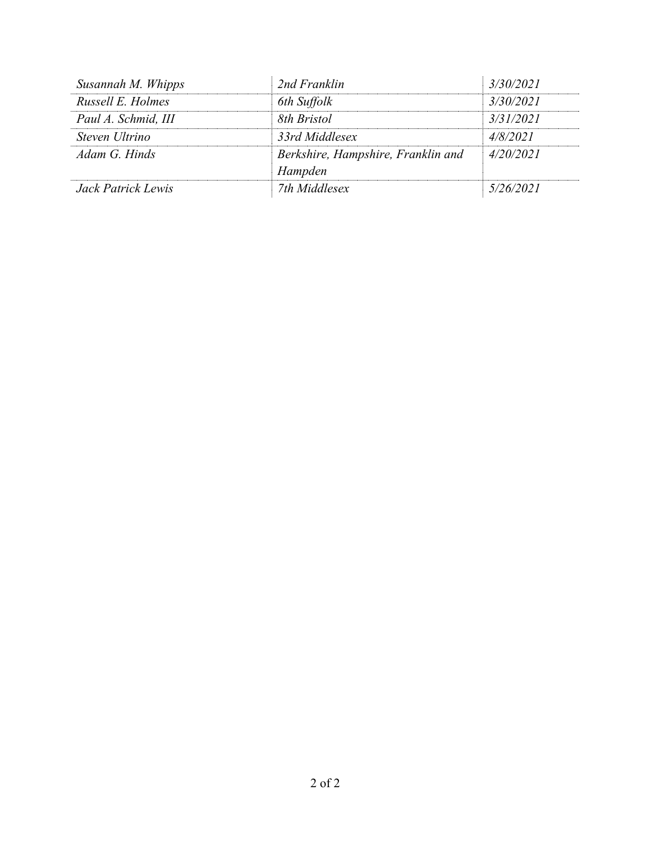| Susannah M. Whipps  | 2nd Franklin                                  | 3/30/2021 |
|---------------------|-----------------------------------------------|-----------|
| Russell E. Holmes   | 6th Suffolk                                   | 3/30/2021 |
| Paul A. Schmid, III | 8th Bristol                                   | 3/31/2021 |
| Steven Ultrino      | 33rd Middlesex                                | 4/8/2021  |
| Adam G Hinds        | Berkshire, Hampshire, Franklin and<br>Hampden | 4/20/2021 |
| Jack Patrick Lewis  | 7th Middlesex                                 | 5/26/2021 |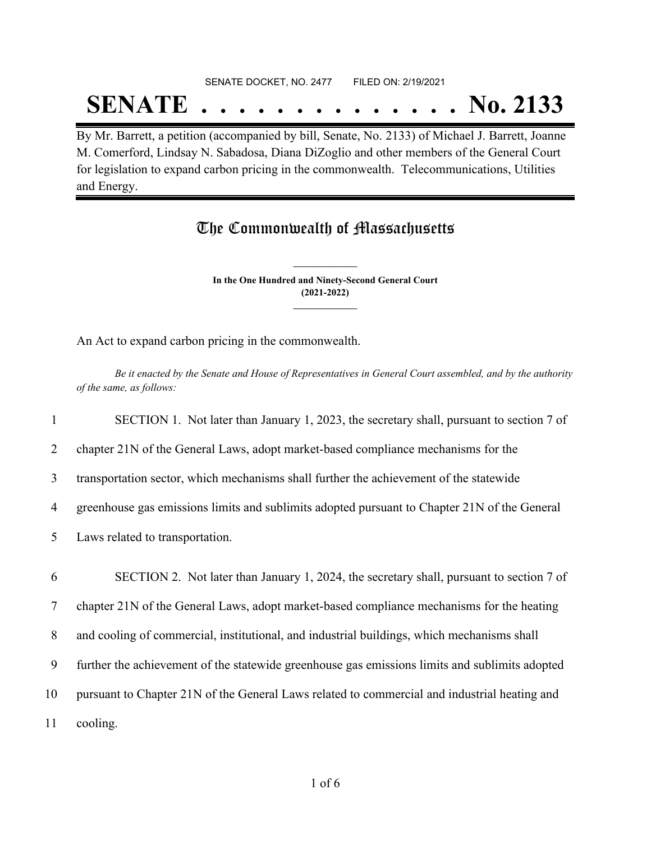## SENATE DOCKET, NO. 2477 FILED ON: 2/19/2021

## **SENATE . . . . . . . . . . . . . . No. 2133**

By Mr. Barrett, a petition (accompanied by bill, Senate, No. 2133) of Michael J. Barrett, Joanne M. Comerford, Lindsay N. Sabadosa, Diana DiZoglio and other members of the General Court for legislation to expand carbon pricing in the commonwealth. Telecommunications, Utilities and Energy.

### The Commonwealth of Massachusetts

**In the One Hundred and Ninety-Second General Court (2021-2022) \_\_\_\_\_\_\_\_\_\_\_\_\_\_\_**

**\_\_\_\_\_\_\_\_\_\_\_\_\_\_\_**

An Act to expand carbon pricing in the commonwealth.

Be it enacted by the Senate and House of Representatives in General Court assembled, and by the authority *of the same, as follows:*

1 SECTION 1. Not later than January 1, 2023, the secretary shall, pursuant to section 7 of 2 chapter 21N of the General Laws, adopt market-based compliance mechanisms for the

3 transportation sector, which mechanisms shall further the achievement of the statewide

4 greenhouse gas emissions limits and sublimits adopted pursuant to Chapter 21N of the General

5 Laws related to transportation.

 SECTION 2. Not later than January 1, 2024, the secretary shall, pursuant to section 7 of chapter 21N of the General Laws, adopt market-based compliance mechanisms for the heating and cooling of commercial, institutional, and industrial buildings, which mechanisms shall further the achievement of the statewide greenhouse gas emissions limits and sublimits adopted pursuant to Chapter 21N of the General Laws related to commercial and industrial heating and 11 cooling.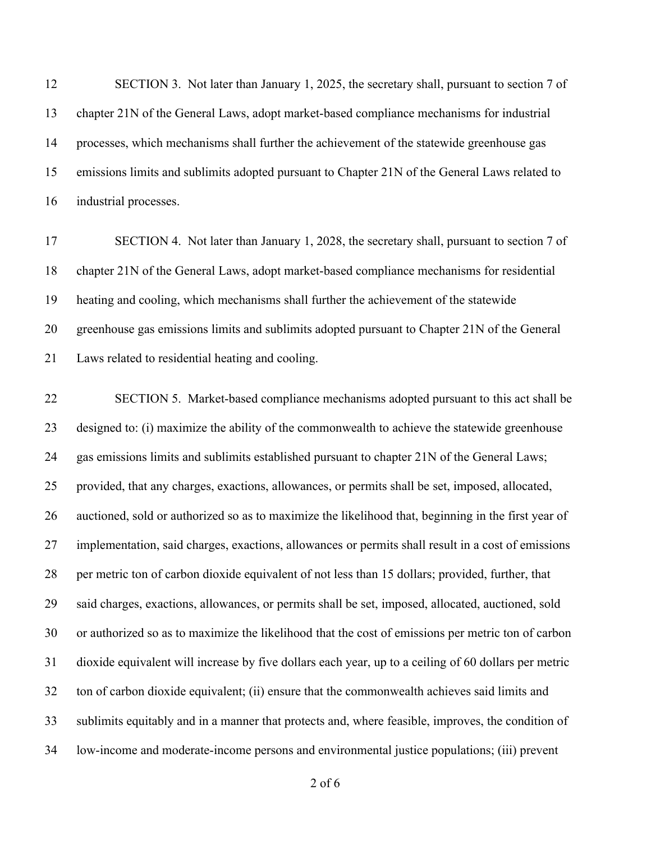SECTION 3. Not later than January 1, 2025, the secretary shall, pursuant to section 7 of chapter 21N of the General Laws, adopt market-based compliance mechanisms for industrial processes, which mechanisms shall further the achievement of the statewide greenhouse gas emissions limits and sublimits adopted pursuant to Chapter 21N of the General Laws related to industrial processes.

 SECTION 4. Not later than January 1, 2028, the secretary shall, pursuant to section 7 of chapter 21N of the General Laws, adopt market-based compliance mechanisms for residential heating and cooling, which mechanisms shall further the achievement of the statewide greenhouse gas emissions limits and sublimits adopted pursuant to Chapter 21N of the General Laws related to residential heating and cooling.

 SECTION 5. Market-based compliance mechanisms adopted pursuant to this act shall be designed to: (i) maximize the ability of the commonwealth to achieve the statewide greenhouse gas emissions limits and sublimits established pursuant to chapter 21N of the General Laws; provided, that any charges, exactions, allowances, or permits shall be set, imposed, allocated, auctioned, sold or authorized so as to maximize the likelihood that, beginning in the first year of implementation, said charges, exactions, allowances or permits shall result in a cost of emissions per metric ton of carbon dioxide equivalent of not less than 15 dollars; provided, further, that said charges, exactions, allowances, or permits shall be set, imposed, allocated, auctioned, sold or authorized so as to maximize the likelihood that the cost of emissions per metric ton of carbon dioxide equivalent will increase by five dollars each year, up to a ceiling of 60 dollars per metric ton of carbon dioxide equivalent; (ii) ensure that the commonwealth achieves said limits and sublimits equitably and in a manner that protects and, where feasible, improves, the condition of low-income and moderate-income persons and environmental justice populations; (iii) prevent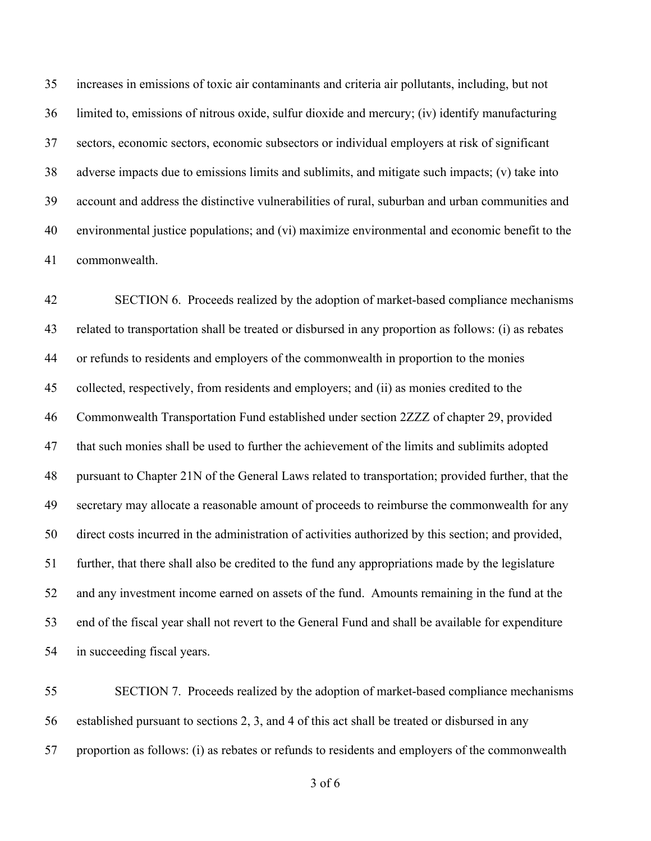increases in emissions of toxic air contaminants and criteria air pollutants, including, but not limited to, emissions of nitrous oxide, sulfur dioxide and mercury; (iv) identify manufacturing sectors, economic sectors, economic subsectors or individual employers at risk of significant adverse impacts due to emissions limits and sublimits, and mitigate such impacts; (v) take into account and address the distinctive vulnerabilities of rural, suburban and urban communities and environmental justice populations; and (vi) maximize environmental and economic benefit to the commonwealth.

 SECTION 6. Proceeds realized by the adoption of market-based compliance mechanisms related to transportation shall be treated or disbursed in any proportion as follows: (i) as rebates or refunds to residents and employers of the commonwealth in proportion to the monies collected, respectively, from residents and employers; and (ii) as monies credited to the Commonwealth Transportation Fund established under section 2ZZZ of chapter 29, provided that such monies shall be used to further the achievement of the limits and sublimits adopted pursuant to Chapter 21N of the General Laws related to transportation; provided further, that the secretary may allocate a reasonable amount of proceeds to reimburse the commonwealth for any direct costs incurred in the administration of activities authorized by this section; and provided, further, that there shall also be credited to the fund any appropriations made by the legislature and any investment income earned on assets of the fund. Amounts remaining in the fund at the end of the fiscal year shall not revert to the General Fund and shall be available for expenditure in succeeding fiscal years.

 SECTION 7. Proceeds realized by the adoption of market-based compliance mechanisms established pursuant to sections 2, 3, and 4 of this act shall be treated or disbursed in any proportion as follows: (i) as rebates or refunds to residents and employers of the commonwealth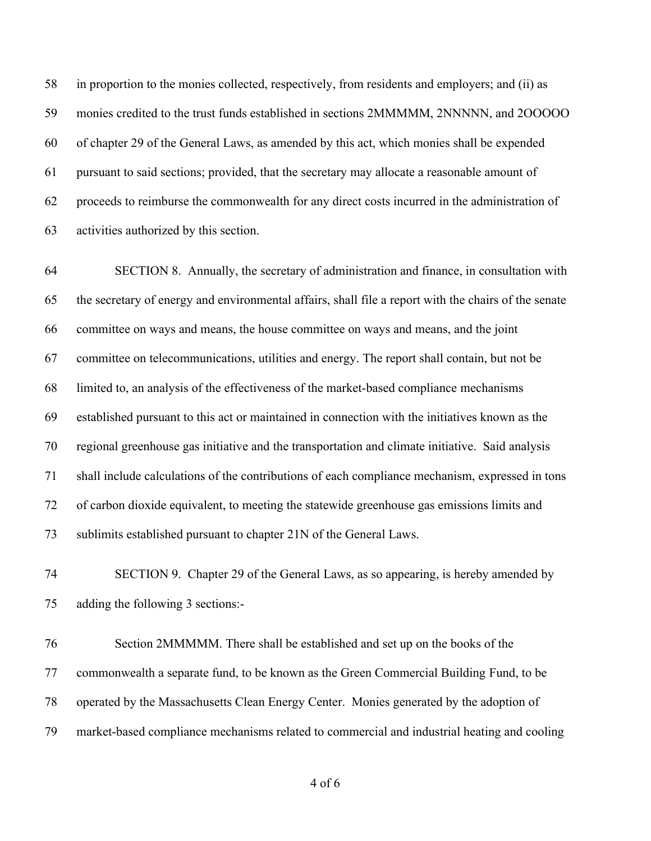in proportion to the monies collected, respectively, from residents and employers; and (ii) as monies credited to the trust funds established in sections 2MMMMM, 2NNNNN, and 2OOOOO of chapter 29 of the General Laws, as amended by this act, which monies shall be expended pursuant to said sections; provided, that the secretary may allocate a reasonable amount of proceeds to reimburse the commonwealth for any direct costs incurred in the administration of activities authorized by this section.

 SECTION 8. Annually, the secretary of administration and finance, in consultation with the secretary of energy and environmental affairs, shall file a report with the chairs of the senate committee on ways and means, the house committee on ways and means, and the joint committee on telecommunications, utilities and energy. The report shall contain, but not be limited to, an analysis of the effectiveness of the market-based compliance mechanisms established pursuant to this act or maintained in connection with the initiatives known as the regional greenhouse gas initiative and the transportation and climate initiative. Said analysis shall include calculations of the contributions of each compliance mechanism, expressed in tons of carbon dioxide equivalent, to meeting the statewide greenhouse gas emissions limits and sublimits established pursuant to chapter 21N of the General Laws.

 SECTION 9. Chapter 29 of the General Laws, as so appearing, is hereby amended by adding the following 3 sections:-

 Section 2MMMMM. There shall be established and set up on the books of the commonwealth a separate fund, to be known as the Green Commercial Building Fund, to be operated by the Massachusetts Clean Energy Center. Monies generated by the adoption of market-based compliance mechanisms related to commercial and industrial heating and cooling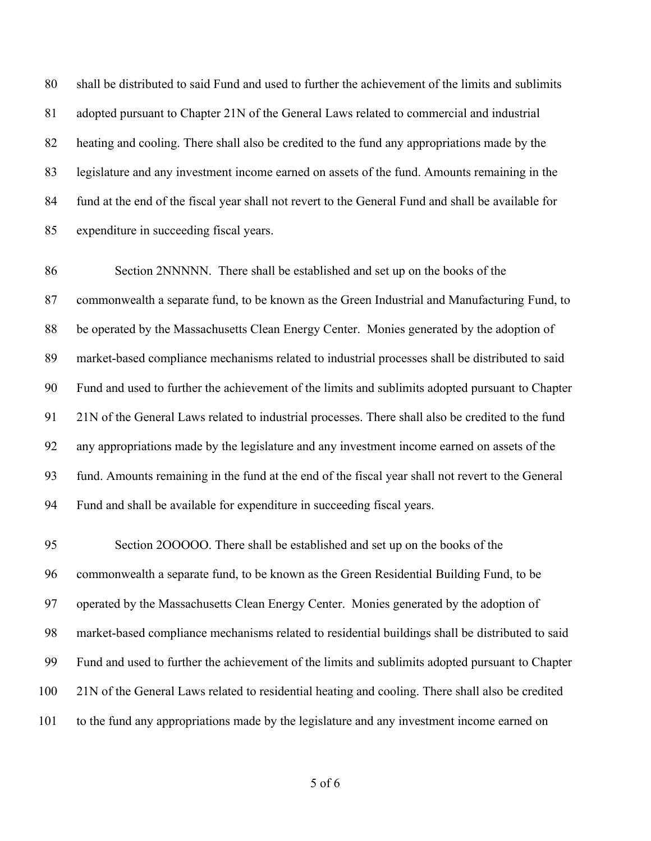shall be distributed to said Fund and used to further the achievement of the limits and sublimits adopted pursuant to Chapter 21N of the General Laws related to commercial and industrial heating and cooling. There shall also be credited to the fund any appropriations made by the legislature and any investment income earned on assets of the fund. Amounts remaining in the fund at the end of the fiscal year shall not revert to the General Fund and shall be available for expenditure in succeeding fiscal years.

 Section 2NNNNN. There shall be established and set up on the books of the commonwealth a separate fund, to be known as the Green Industrial and Manufacturing Fund, to be operated by the Massachusetts Clean Energy Center. Monies generated by the adoption of market-based compliance mechanisms related to industrial processes shall be distributed to said Fund and used to further the achievement of the limits and sublimits adopted pursuant to Chapter 21N of the General Laws related to industrial processes. There shall also be credited to the fund any appropriations made by the legislature and any investment income earned on assets of the fund. Amounts remaining in the fund at the end of the fiscal year shall not revert to the General Fund and shall be available for expenditure in succeeding fiscal years.

 Section 2OOOOO. There shall be established and set up on the books of the commonwealth a separate fund, to be known as the Green Residential Building Fund, to be operated by the Massachusetts Clean Energy Center. Monies generated by the adoption of market-based compliance mechanisms related to residential buildings shall be distributed to said Fund and used to further the achievement of the limits and sublimits adopted pursuant to Chapter 21N of the General Laws related to residential heating and cooling. There shall also be credited to the fund any appropriations made by the legislature and any investment income earned on